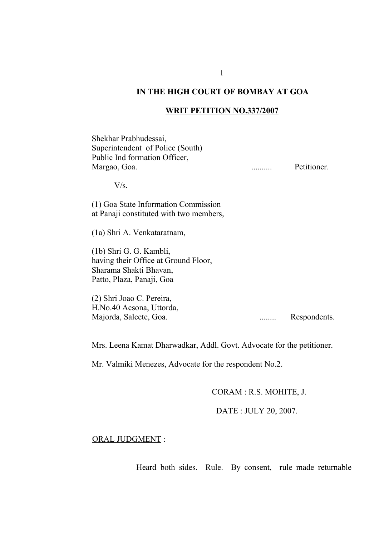## **IN THE HIGH COURT OF BOMBAY AT GOA**

## **WRIT PETITION NO.337/2007**

Shekhar Prabhudessai, Superintendent of Police (South) Public Ind formation Officer, Margao, Goa. .......... Petitioner.

 $V/s$ 

(1) Goa State Information Commission at Panaji constituted with two members,

(1a) Shri A. Venkataratnam,

(1b) Shri G. G. Kambli, having their Office at Ground Floor, Sharama Shakti Bhavan, Patto, Plaza, Panaji, Goa

(2) Shri Joao C. Pereira, H.No.40 Acsona, Uttorda, Majorda, Salcete, Goa. ........ Respondents.

Mrs. Leena Kamat Dharwadkar, Addl. Govt. Advocate for the petitioner.

Mr. Valmiki Menezes, Advocate for the respondent No.2.

CORAM : R.S. MOHITE, J.

DATE : JULY 20, 2007.

## ORAL JUDGMENT :

Heard both sides. Rule. By consent, rule made returnable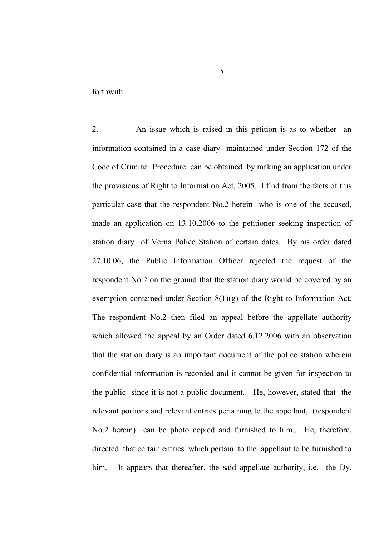forthwith.

2. An issue which is raised in this petition is as to whether an information contained in a case diary maintained under Section 172 of the Code of Criminal Procedure can be obtained by making an application under the provisions of Right to Information Act, 2005. I find from the facts of this particular case that the respondent No.2 herein who is one of the accused, made an application on 13.10.2006 to the petitioner seeking inspection of station diary of Verna Police Station of certain dates. By his order dated 27.10.06, the Public Information Officer rejected the request of the respondent No.2 on the ground that the station diary would be covered by an exemption contained under Section 8(1)(g) of the Right to Information Act. The respondent No.2 then filed an appeal before the appellate authority which allowed the appeal by an Order dated 6.12.2006 with an observation that the station diary is an important document of the police station wherein confidential information is recorded and it cannot be given for inspection to the public since it is not a public document. He, however, stated that the relevant portions and relevant entries pertaining to the appellant, (respondent No.2 herein) can be photo copied and furnished to him.. He, therefore, directed that certain entries which pertain to the appellant to be furnished to him. It appears that thereafter, the said appellate authority, i.e. the Dy.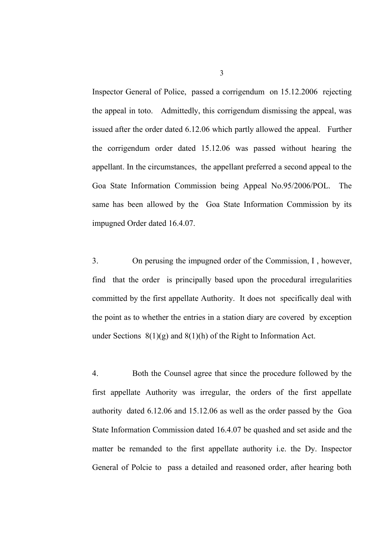Inspector General of Police, passed a corrigendum on 15.12.2006 rejecting the appeal in toto. Admittedly, this corrigendum dismissing the appeal, was issued after the order dated 6.12.06 which partly allowed the appeal. Further the corrigendum order dated 15.12.06 was passed without hearing the appellant. In the circumstances, the appellant preferred a second appeal to the Goa State Information Commission being Appeal No.95/2006/POL. The same has been allowed by the Goa State Information Commission by its impugned Order dated 16.4.07.

3. On perusing the impugned order of the Commission, I , however, find that the order is principally based upon the procedural irregularities committed by the first appellate Authority. It does not specifically deal with the point as to whether the entries in a station diary are covered by exception under Sections  $8(1)(g)$  and  $8(1)(h)$  of the Right to Information Act.

4. Both the Counsel agree that since the procedure followed by the first appellate Authority was irregular, the orders of the first appellate authority dated 6.12.06 and 15.12.06 as well as the order passed by the Goa State Information Commission dated 16.4.07 be quashed and set aside and the matter be remanded to the first appellate authority i.e. the Dy. Inspector General of Polcie to pass a detailed and reasoned order, after hearing both